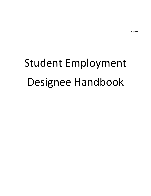Rev0721

# Student Employment Designee Handbook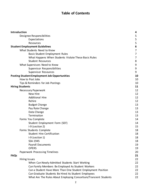# **Table of Contents**

| Introduction           |                                                                  | 4              |
|------------------------|------------------------------------------------------------------|----------------|
|                        | Designee Responsibilities                                        | 5              |
|                        | Expectations                                                     | 5              |
|                        | Resources                                                        | 5              |
|                        | <b>Student Employment Guidelines</b>                             | 6              |
|                        | What Students Need to Know                                       | 7              |
|                        | <b>Basic Student Employment Rules</b>                            | $\overline{7}$ |
|                        | What Happens When Students Violate These Basic Rules             | 7              |
|                        | <b>Student Resources</b>                                         | 8              |
|                        | What Supervisors Need to Know                                    | 9              |
|                        | Supervisor Responsibilities                                      | 9              |
|                        | Supervisor Resources                                             | 9              |
|                        | <b>Posting Student Employment Job Opportunities</b>              | 10             |
|                        | How to Post Jobs                                                 | 10             |
|                        | Tips & Reminders for Job Postings                                | 10             |
| <b>Hiring Students</b> |                                                                  | 11             |
|                        | Necessary Paperwork                                              | 12             |
|                        | New Hire                                                         | 12             |
|                        | <b>Additional Hire</b>                                           | 12             |
|                        | Rehire                                                           | 12             |
|                        | <b>Budget Change</b>                                             | 13             |
|                        | Pay Rate Change                                                  | 13             |
|                        | Data Change                                                      | 13             |
|                        | Termination                                                      | 13             |
|                        | Forms You Complete                                               | 14             |
|                        | Student Employment Form (SEF)                                    | 14             |
|                        | I-9 (section 2)                                                  | 15             |
|                        | Forms Students Complete                                          | 18             |
|                        | <b>Student Hire Certification</b>                                | 18             |
|                        | $I-9$ (section 1)                                                | 18             |
|                        | SSA-1945                                                         | 18             |
|                        | <b>Payroll Documents</b>                                         | 19             |
|                        | <b>OPERS</b>                                                     | 19             |
|                        | Paperwork Processing Timelines                                   | 20             |
| <b>FAQs</b>            |                                                                  | 21             |
|                        | Hiring Issues                                                    | 22             |
|                        | When Can Newly-Admitted Students Start Working                   | 22             |
|                        | Can Family Members Be Employed As Student Workers                | 22             |
|                        | Can a Student Have More Than One Student Employment Position     | 22             |
|                        | Can Graduate Students Be Hired As Student Employees              | 22             |
|                        | What Are The Rules About Employing Consortium/Transient Students | 22             |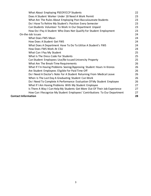| What About Employing PSEOP/CCP Students                                    | 22 |
|----------------------------------------------------------------------------|----|
| Does A Student Worker Under 18 Need A Work Permit                          | 23 |
| What Are The Rules About Employing Post-Baccalaureate Students             | 23 |
| Do I Have To Rehire My Student's Position Every Semester                   | 23 |
| Can Students Volunteer To Work In Our Department Unpaid                    | 23 |
| How Do I Pay A Student Who Does Not Qualify For Student Employment         | 23 |
| On-the-Job Issues                                                          | 24 |
| What Does FWS Mean                                                         | 24 |
| How Does A Student Get FWS                                                 | 24 |
| What Does A Department Have To Do To Utilize A Student's FWS               | 24 |
| How Does FWS Work At CSU                                                   | 24 |
| What Can I Pay My Student                                                  | 25 |
| What Is The Dress Code For Students                                        | 25 |
| Can Student Employees Use/Be Issued University Property                    | 25 |
| What Are The Break-Time Requirements                                       | 26 |
| What If I'm Having Problems Seeing/Approving Student Hours In Kronos       | 26 |
| Are Student Employees Eligible For Paid Time Off                           | 26 |
| Do I Need A Doctor's Note For A Student Returning From Medical Leave       | 26 |
| When Is The Last Day A Graduating Student Can Work                         | 26 |
| Do I Need To Complete A Performance Evaluation Of My Student Employee      | 26 |
| What If I Am Having Problems With My Student Employee                      | 27 |
| Is There A Way I Can Help My Students Get More Out Of Their Job Experience | 27 |
| How Can I Recognize My Student Employees' Contributions To Our Department  | 27 |
| <b>Contact Information</b>                                                 | 28 |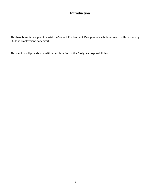## **Introduction**

This handbook is designed to assist the Student Employment Designee of each department with processing Student Employment paperwork.

This section will provide you with an explanation of the Designee responsibilities.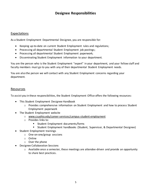## **Designee Responsibilities**

#### Expectations

As a Student Employment Departmental Designee, you are responsible for:

- Keeping up-to-date on current Student Employment rules and regulations;
- Processing all departmental Student Employment job postings;
- Processing all departmental Student Employment paperwork;
- Disseminating Student Employment information to your department.

You are the person who is the Student Employment "expert" in your department, and your fellow staff and faculty members must go to you with any of their departmental Student Employment needs.

You are also the person we will contact with any Student Employment concerns regarding your department.

#### Resources

To assist you in these responsibilities, the Student Employment Office offers the following resources:

- This Student Employment Designee Handbook
	- $\circ$  Provides comprehensive information on Student Employment and how to process Student Employment paperwork
- The Student Employment website
	- o www.csuohio.edu/career-services/campus-student-employment
	- o Provides links to:
		- **EXECUTE: Student Employment documents/forms**
		- Student Employment handbooks (Student, Supervisor, & Departmental Designee)
- Student Employment trainings
	- o One-on-one/group sessions
	- o Online
	- o Over the phone
- Designee Collaboration Sessions
	- $\circ$  Available once a semester, these meetings are attendee-driven and provide an opportunity to share best practices.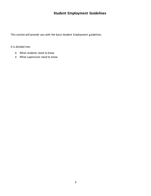# **Student Employment Guidelines**

This section will provide you with the basic Student Employment guidelines.

It is divided into:

- What students need to know
- What supervisors need to know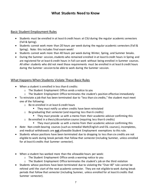## **What Students Need to Know**

#### Basic Student Employment Rules

- Students must be enrolled in at least 6 credit hours at CSU during the regular academic semesters (Fall & Spring).
- Students cannot work more than 20 hours per week during the regular academic semesters (Fall & Spring). Note: this includes final exam week!
- Students cannot work more than 40 hours per week during Winter, Spring, and Summer breaks.
- During the Summer session, students who remained enrolled in at least 6 credit hours in Spring and are registered for at least 6 credit hours in Fall can work without being enrolled in Summer courses. All other students who did not meet those requirements must be enrolled in at least 6 credit hours during the Summer session to be able to work during the Summer session.

#### What Happens When Students Violate These Basic Rules

- When a student is enrolled in less than 6 credits:
	- o The Student Employment Office sends a notice to you
	- o The Student Employment Office terminates the student's position effective immediately
- To reinstate a job that has been terminated due to "less than six credits," the student must meet one of the following:
	- o Be re-enrolled in at least 6 credit hours
		- **They must notify us when credits have been reinstated**
	- $\circ$  Be graduating that semester (and requiring less than 6 credits)
		- **They must provide us with a memo from their academic advisor confirming this**
	- $\circ$  Be enrolled in a thesis/dissertation course (requiring less than 6 credits)
		- **They must provide us with a memo from their academic advisor confirming this**
- *Note*: Non-credit-bearing courses (such as remedial Math/English and ESL courses), incompletes, and medical withdrawals are **not** allowable Student Employment exemptions to this rule.
- Students whose positions have been terminated due to dropping to less than six credits are not eligible to work during break periods that follow that semester (including Summer, unless enrolled for at least 6 credits that Summer semester).
- When a student has worked more than the allowable hours per week:
	- o The Student Employment Office sends a warning notice to you
	- $\circ$  The Student Employment Office terminates the student's job on the third violation
- Students whose positions have been terminated due to violating the "Over 40" rule cannot be rehired until the start of the next academic semester. They are not eligible to work during break periods that follow that semester (including Summer, unless enrolled for at least 6 credits that Summer semester).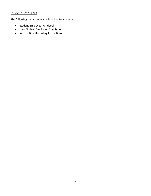## Student Resources

The following items are available online for students:

- Student Employee Handbook
- New Student Employee Orientation
- Kronos Time Recording Instructions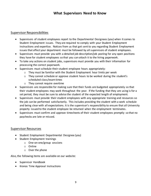## **What Supervisors Need to Know**

#### Supervisor Responsibilities

- Supervisors of student employees report to the Departmental Designees (you) when it comes to Student Employment issues. They are required to comply with your Student Employment instructions and expertise. Notices from us that get sent to you regarding Student Employment issues that affect your department must be followed by all supervisors of student employees.
- Supervisors must provide you with a detailed job description/job posting for any open positions they have for student employees so that you can attach it to the hiring paperwork.
- To take any actions on student jobs, supervisors must provide you with their information for processing the correct paperwork.
- Supervisors must schedule their student employee hours appropriately:
	- $\circ$  They must be familiar with the Student Employment hour limits per week
	- o They cannot schedule or approve student hours to be worked during the student's scheduled class/exam times
	- o They cannot require overtime
- Supervisors are responsible for making sure that their funds are budgeted appropriately so that their student employees may work throughout the year. If the funding that they are using is for a set period, they must be sure to advise the student of the expected length of employment.
- Supervisors must provide their student employees with any appropriate training and resources so the job can be performed satisfactorily. This includes providing the student with a work schedule and being clear with all expectations. It is the supervisor's responsibility to ensure that all University property issued to the student employee be returned when the employment terminates.
- Supervisors must confirm and approve timesheets of their student employees promptly so that no paychecks are late or missed.

#### Supervisor Resources

- Student Employment Departmental Designee (you)
- Student Employment trainings
	- o One-on-one/group sessions
	- o Online
	- o Over the phone

Also, the following items are available on our website:

- Supervisor Handbook
- Kronos Time Approval Instructions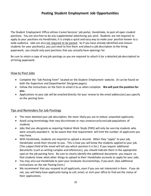## **Posting Student Employment Job Opportunities**

The Student Employment Office utilizes Career Services' job portal, Handshake, to post all open student positions. You are also free to do any supplemental advertising you wish. Students are not required to apply to your positions via Handshake; it is simply a quick and easy way to make your position known to a wide audience. Jobs are also not required to be posted. So if you have already identified and chosen students for your position(s), you just need to hire them and attach a job description to the hiring paperwork; you should only post positions that you actually have openings for.

Be sure to retain a copy of any job postings as you are required to attach it (or a detailed job description) to all hiring paperwork.

#### How to Post Jobs

- Complete the "Job Posting Form" located on the Student Employment website. (It can be found on both the Supervisor and Departmental Designee pages).
- Follow the instructions on the form to email it to us when complete. **We will post the position for you.**
- Applications to your job will be emailed directly for your review to the email address(es) you specify on the posting form.

#### Tips and Reminders for Job Postings

- The more detailed your job description, the more likely you are to reduce unwanted applicants.
- Avoid using terminology that may discriminate or may unnecessarily exclude populations of students
- Jobs that you designate as requiring Federal Work Study (FWS) will only be seen by students who were actually awarded it. So be aware that that requirement will limit the number of applicants you may have.
- With Handshake, students are required to upload a résumé. When they "apply" to your job, Handshake sends their résumé to you. This is how you will know the students applied to your job. (The subject field of the email will tell you which position it is for.) If you require additional documents (such as writing samples and references), you should indicate them in the appropriate spot on the job posting form. Be sure to clearly identify the additional documents you require so that students know what other things to upload to their Handshake accounts to apply for your jobs.
- You may also use Handshake to post your Graduate Assistantships, if you wish. (See additional instructions on the Job Posting Form.)
- We recommend that you respond to all applicants, even if you are not interested in them. If you do not, you will likely have applicants trying to call, email, or visit your office to find out the status of their applications.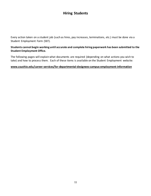## **Hiring Students**

Every action taken on a student job (such as hires, pay increases, terminations, etc.) must be done via a Student Employment Form (SEF).

#### **Students cannot begin working until accurate and complete hiring paperwork has been submitted to the Student Employment Office.**

The following pages will explain what documents are required (depending on what actions you wish to take) and how to process them. Each of these items is available on the Student Employment website:

#### **www.csuohio.edu/career-services/for-departmental-designees-campus-employment-information**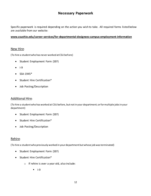## **Necessary Paperwork**

Specific paperwork is required depending on the action you wish to take. All required forms listed below are available from our website:

#### **www.csuohio.edu/career-services/for-departmental-designees-campus-employment-information**

#### New Hire:

(To hire a student who has never worked at CSU before)

- Student Employment Form (SEF)
- $\bullet$  1-9
- $\bullet$  SSA-1945\*
- Student Hire Certification\*
- Job Posting/Description

#### Additional Hire:

(To hire a student who has worked at CSU before, but not in your department; or for multiple jobs in your department)

- Student Employment Form (SEF)
- Student Hire Certification\*
- Job Posting/Description

#### Rehire:

(To hire a student who previously worked in your department but whose job was terminated)

- Student Employment Form (SEF)
- Student Hire Certification\*
	- o If rehire is over a year old, also include:
		- $| -9$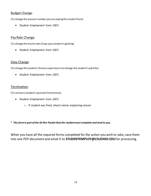#### Budget Change:

(To change the account number you are paying the student from)

• Student Employment Form (SEF)

#### Pay Rate Change:

(To change the hourly rate of pay your student is getting)

• Student Employment Form (SEF)

#### Data Change:

(To change the student's Kronos supervisor or to change the student's job title)

• Student Employment Form (SEF)

#### Termination:

(To remove a student's position from Kronos)

- Student Employment Form (SEF)
	- o If student was fired, attach memo explaining reason
- **\*** *This form is part of the SE Hire Packet that the student must complete and send to you.*

When you have all the required forms completed for the action you wish to take, save them into one PDF document and email it to **STUDENTEMPLOY@CSUOHIO.EDU**for processing.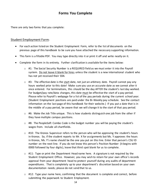## **Forms You Complete**

There are only two forms that you complete:

#### Student Employment Form:

- For each action listed on the Student Employment Form, refer to the list of documents on the previous page of this handbook to be sure you have attached the necessary supporting information.
- This form is a fillable PDF. You may type directly into it or print it off and write neatly on it.
- Complete the form in its entirety. Further clarification is available for the items below:
	- $\circ$  #1: The Social Security Number is a REQUIRED field as we must enter it into the Payroll system. Do not leave it blank for hires unless the student is a new international student who has not yet received their SSN.
	- $\circ$  #3: The effective date is the start date, not just an arbitrary date. Payroll cannot pay any hours worked prior to this date! Make sure you use an accurate date as we cannot alter it once entered. For terminations, this should be the day AFTER the student's last day worked. For budget/pay rate/data changes, this date must be effective the start of a pay period. Please refer to Payroll's webpage for a list of the pay periods during the current school year. (Student Employment positions are paid under the Bi-Weekly pay schedule. See the contact information on the last page of this handbook for their website.) If you put a date that is in the middle of a pay period, be aware that we will change it to the start of that pay period.
	- $\circ$  #6: Make the Job Title unique. This is how students distinguish one job from the other if they have multiple campus positions.
	- $\circ$  #8: The PeopleSoft Combo Code is the budget number you will be paying the student's wages from. Include all chartfields.
	- $\circ$  #10: The Kronos Supervisor refers to the person who will be approving the student's hours in Kronos. So, if the student reports to Mr. X for assignments but Ms. Y approves the hours in Kronos, Ms. Y's name should be the one you put on this line. Enter that person's CSU ID number on the next line. If you do not know this person's Position Number (it begins with 0000 followed by four digits), leave that third spot blank for us to complete.
	- o #11: Type or print the Department Head name here. A signature is not required by the Student Employment Office. However, you may wish to retain for your own office's records approval from your department head to protect yourself during any audits of department expenditures. That is completely up to your department's discretion based on your own documentation needs; please do not send that to us.
	- o #12: Type your name here, confirming that the document is complete and correct, before submitting the paperwork to Student Employment.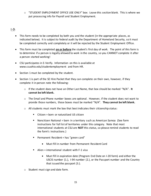$\circ$  "STUDENT EMPLOYMENT OFFICE USE ONLY" box: Leave this section blank. This is where we put processing info for Payroll and Student Employment.

#### I-9:

- This form needs to be completed by both you and the student (in the appropriate places, as indicated below). It is subject to federal audit by the Department of Homeland Security, so it must be completed correctly and completely or it will be rejected by the Student Employment Office.
- This form must be completed **on or before** the student's first day of work. The point of this form is to determine if a person is legally allowed to work in the country, so you CANNOT complete it after a person started working!
- CSU participates in E-Verify. Information on this is available at www.csuohio.edu/studentemployment and from HR.
- Section 1 must be completed by the student.
- Section 1 is part of the SE Hire Packet that they can complete on their own, however, if they complete it in person note the following:
	- o If the student does not have an Other Last Name, that box should be marked "N/A". **It cannot be left blank.**
	- $\circ$  The Email and Phone number boxes are optional. However, if the student does not want to provide those numbers, those boxes must be marked "N/A". **They cannot be left blank.**
	- $\circ$  All students must mark the box that best indicates their citizenship status:
		- Citizen = born or naturalized US citizen
		- Noncitizen National = born in a territory such as American Samoa (See form instructions for full list of territories under this category. Note that most international students at CSU are **NOT** this status, so please remind students to read the form's instructions.)
		- **Permanent Resident = has "green card"** 
			- Must fill in number from Permanent Resident Card
		- Alien = international student with  $F-1$  visa
			- Must fill in expiration date (Program End Date on I-20 form) and either the USCIS number (1.), I-94 number (2.), or the Passport number and the Country that issued the passport (3.).
	- o Student must sign and date form.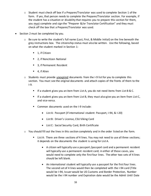- $\circ$  Student must check off box if a Preparer/Translator was used to complete Section 1 of the form. If yes, that person needs to complete the Preparer/Translator section. For example, if the student has a situation or disability that requires you to prepare this section for them, you must complete and sign the "Preparer &/or Translator Certification" and they must check off the box that a Preparer/Translator was used.
- Section 2 must be completed by you.
	- o Be sure to write the student's full name (Last, First, & Middle Initial) on the line beneath the grey instructions box. The citizenship status must also be written. Use the following, based on what the student marked in Section 1:
		- 1, if Citizen
		- 2, if Noncitizen National
		- 3, if Permanent Resident
		- 4, if Alien
	- $\circ$  Students must provide unexpired documents from the I-9 list for you to complete this section. You must see the original documents and attach copies of the fronts of them to the I-9.
		- If a student gives you an item from List A, you do not need items from List B & C.
		- If a student gives you an item from List B, they must also give you an item from List C, and vice-versa.
		- Common documents used on the I-9 include:
			- List A: Passport (if international student: Passport, I-94, & I-20)
			- List B: Driver's License, CSU Viking Card
			- List C: Social Security Card, Birth Certificate
	- $\circ$  You should fill out the lines in this section completely and in the order listed on the form.
		- List A: There are three sections of 4 lines. You may not need to use all three sections; it depends on the documents the student is using for List A.
			- A citizen will typically use a passport /passport card and a permanent resident will typically use a permanent resident card; in either of those cases, you would need to complete only the first four lines. The other two sets of 4 lines should be left blank.
			- An international student will typically use a passport for the first four lines. The second set of 4 lines would then be completed with the I-94 card (Title would be I-94, Issuer would be US Customs and Border Protection, Number would be the I-94 number and Expiration date would be the Admit Until Date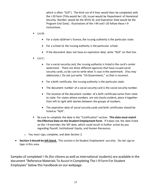which is often "D/S"). The third set of 4 lines would then be completed with the I-20 form (Title would be I-20, Issuer would be Department of Homeland Security, Number would be the SEVIS ID, and Expiration Date would be the Program End Date). Illustrations of the I-94 and I-20 follow these I-9 instructions.

- List B:
	- For a state id/driver's license, the issuing authority is the particular state.
	- For a school id, the issuing authority is the particular school.
	- If the document does not have an expiration date, write " $N/A$ " on that line.
- List C:
	- For a social security card, the issuing authority is listed in the card's center watermark. There are three different agencies that have issued social security cards, so be sure to write what it says in the watermark. (You may abbreviate.) Do not just write "US Government," as that is incorrect.
	- For a birth certificate, the issuing authority is the particular state.
	- The document number of a social security card is the social security number.
	- The location of the document number of a birth certificate varies from state to state. For states whose numbers are not clearly evident, piece it together from left to right with dashes between the groups of numbers.
	- The expiration date of social security cards and birth certificates should be listed as "N/A".
- Be sure to complete the date in the "Certification" section. **This date must match the Effective Date on the Student Employment Form**. If it does not, the date listed on the I-9 overrides the SEF date, which could result in further action by you regarding Payroll, Institutional Equity, and Human Resources.
- o You must sign, complete, and date Section 2.
- **Section 3 should be left blank**. This section is for Student Employment use only. Do not sign or type in this area.

Samples of completed I-9s (for citizens as well as international students) are available in the document "Reference Materials To Assist In Completing The I-9 Form For Student Employees" below this handbook on our webpage.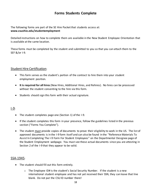## **Forms Students Complete**

The following forms are part of the SE Hire Packet that students access at: **www.csuohio.edu/studentemployment**

Detailed instructions on how to complete them are available in the New Student Employee Orientation that is available at the same location.

These forms must be completed by the student and submitted to you so that you can attach them to the SEF &/or I-9.

#### Student Hire Certification:

- This form serves as the student's portion of the contract to hire them into your student employment position.
- **It is required for all hires**(New Hires, Additional Hires, and Rehires). No hires can be processed without the student consenting to the hire via this form.
- Students should sign this form with their actual signature.

#### <u>I-9:</u>

- The student completes page one (Section 1) of the I-9.
- If the student completes this form in your presence, follow the guidelines listed in the previous section ("Forms You Complete").
- The student must provide copies of documents to prove their eligibility to work in the US. The list of approved documents is in the I-9 form itself and can also be found in the "Reference Materials To Assist In Completing The I-9 Form For Student Employees" on the Departmental Designee page of the Student Employment webpage. You must see these actual documents since you are attesting in Section 2 of the I-9 that they appear to be valid.

#### SSA-1945:

- The student should fill out this form entirely.
	- $\circ$  The Employee ID# is the student's Social Security Number. If the student is a new international student employee and has not yet received their SSN, they can leave that line blank. Do not put the CSU ID number there!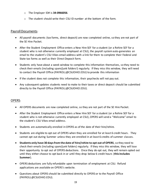- o The Employer ID# is **34-0966056**.
- o The student should write their CSU ID number at the bottom of the form.

#### Payroll Documents:

- All payroll documents (tax forms, direct deposit) are now completed online, so they are not part of the SE Hire Packet.
- After the Student Employment Office enters a New Hire SEF for a student (or a Rehire SEF for a student who is not otherwise currently employed at CSU), the payroll system auto-generates an email to the student's CSU Vikes email address with a link for them to complete their Federal and State tax forms as well as their Direct Deposit form.
- Students only have about a week window to complete this information themselves, so they need to check their emails (including spam/junk folders!) regularly. If they miss this window, they will need to contact the Payroll Office (PAYROLL@CSUOHIO.EDU) to provide this information
- If the student does not complete this information, their paychecks will not pay out.
- Any subsequent updates students need to make to their taxes or direct deposit should be submitted directly to the Payroll Office (PAYROLL@CSUOHIO.EDU).

#### OPERS:

- All OPERS documents are now completed online, so they are not part of the SE Hire Packet.
- After the Student Employment Office enters a New Hire SEF for a student (or a Rehire SEF for a student who is not otherwise currently employed at CSU), OPERS will send a "Welcome" email to the student's CSU Vikes email address.
- Students are automatically enrolled in OPERS as of the date of their hire/rehire.
- Students are eligible to opt out of OPERS when they are enrolled for at least 6 credit hours. They cannot opt out during Summer unless they are enrolled in at least 6 credits of summer classes.
- **Students only have 30 days from the date of hire/rehire to opt out of OPERS**, so they need to check their emails (including spam/junk folders) regularly. If they miss this window, they will lose their opportunity to opt out of OPERS deductions. Once they do opt out, they will remain opted out until they either choose to opt back in or until they drop below 6 credit hours (**this includes Summer**).
- OPERS deductions are fully refundable upon termination of employment at CSU. Refund applications are available on OPERS's website.
- Questions about OPERS should be submitted directly to OPERS or to the Payroll Office (PAYROLL@CSUOHIO.EDU).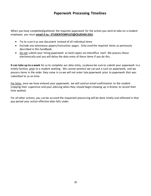## **Paperwork Processing Timelines**

When you have completed/gathered the required paperwork for the action you wish to take on a student employee, you must **email it to: STUDENTEMPLOY@CSUOHIO.EDU**.

- Try to scan it as one document instead of all individual items
- Exclude any extraneous papers/instruction pages. Only send the required items as previously described in this handbook.
- Do not submit your hiring paperwork as hard copies via interoffice mail! We process these electronically and you will delay the data entry of these items if you do this.

**It can take up to a week** for us to complete our data entry, so please be sure to submit your paperwork in a timely fashion, prior to a student working. We cannot promise we can put a rush on paperwork, and we process items in the order they come in so we will not enter late paperwork prior to paperwork that was submitted to us on time.

For hires, once we have entered your paperwork, we will send an email confirmation to the student (copying their supervisor and you) advising when they should begin showing up in Kronos to record their time worked.

For all other actions, you can be assured the requested processing will be done timely and reflected in that pay period your action effective date falls under.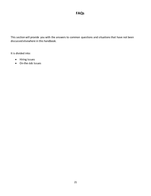This section will provide you with the answers to common questions and situations that have not been discussed elsewhere in this handbook.

It is divided into:

- Hiring Issues
- On-the-Job Issues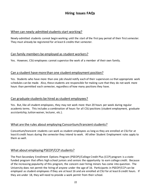## **Hiring Issues FAQs**

#### When can newly-admitted students start working?

Newly-admitted students cannot begin working until the start of the first pay period of their first semester. They must already be registered for at least 6 credits that semester.

#### Can family members be employed as student workers?

Yes. However, CSU employees cannot supervise the work of a member of their own family.

#### Can a student have more than one student employment position?

Yes. Students who have more than one job should notify each of their supervisors so that appropriate work schedules can be made. Also, these students are responsible for making sure that they do not work more hours than permitted each semester, regardless of how many positions they have.

#### Can graduate students be hired as student employees?

Yes. But, like all student employees, they may not work more than 20 hours per week during regular academic terms. This includes a combination of hours for all CSU positions (student employment, graduate assistantship, tuition waiver, lecturer, etc.).

#### What are the rules about employing Consortium/transient students?

Consortium/transient students can work as student employees as long as they are enrolled at CSU for at least 6 credit hours during the semester they intend to work. All other Student Employment rules apply to them as well.

#### What about employing PSEOP/CCP students?

The Post-Secondary Enrollment Options Program (PSEOP)/College Credit Plus (CCP) program is a statefunded program that offers high school juniors and seniors the opportunity to earn college credit. Because of the increasing popularity of this program, the concern over hiring minors has come into question. The University does not permit the hiring of anyone under the age of 16. Participants in PSEOP/CCP can be employed as student employees if they are at least 16 and are enrolled at CSU for at least 6 credit hours. If they are under 18, they will need to provide a work permit from their school.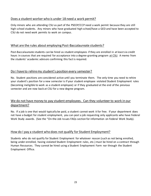#### Does a student worker who is under 18 need a work permit?

Only minors who are attending CSU as part of the PSEOP/CCP need a work permit because they are still high school students. Any minors who have graduated high school/have a GED and have been accepted to CSU do not need work permits to work on campus.

#### What are the rules about employing Post-Baccalaureate students?

Post-Baccalaureate students can be hired as student employees if they are enrolled in at least six credit hours in courses that are required for acceptance into a degree-granting program at CSU. A memo from the students' academic advisors confirming this fact is required.

#### Do I have to rehire my student's position every semester?

No. Student positions are considered active until you terminate them. The only time you need to rehire your student's position for a new semester is if your student employee violated Student Employment rules (becoming ineligible to work as a student employee) or if they graduated at the end of the previous semester and are now back at CSU for a new degree program.

## We do not have money to pay student employees. Can they volunteer to work in our department?

No. If a job is one that would typically be paid, a student cannot work it for free. If your department does not have a budget for student employment, you can post a job requesting only applicants who have Federal Work Study awards. (See the "On-the-Job Issues FAQs section for information on Federal Work Study).

#### How do I pay a student who does not qualify for Student Employment?

Students who do not qualify for Student Employment for whatever reason (such as not being enrolled, being under-enrolled, having violated Student Employment rules, etc.) must be hired on a contract through Human Resources. They cannot be hired using a Student Employment Form nor through the Student Employment Office.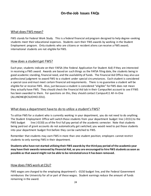## **On-the-Job Issues FAQs**

#### What does FWS mean?

FWS stands for Federal Work Study. This is a federal financial aid program designed to help degree-seeking students meet their educational expenses. Students earn their FWS awards by working in the Student Employment program. Only students who are citizens or resident aliens can receive a FWS award; international students are not eligible for FWS.

#### How does a student get FWS?

Each year, students indicate on their FAFSA (the Federal Application For Student Aid) if they are interested in receiving a FWS award. Awards are based on such things as the FAFSA filing date, the students being in good academic standing, financial need, and the availability of funds. The Financial Aid Office may also use professional judgment to award FWS to a student under special circumstances. Each student is considered a special case and must meet certain financial aid requirements. There is no guarantee a student will be eligible for or receive FWS. Also, just because a student is considered "eligible" for FWS does not mean they actually have FWS. They should check the Financial Aid tab in their CampusNet account to see if FWS has been awarded to them. For questions on this, they should contact Campus411 All-In-One (ALLINONE@CSUOHIO.EDU).

#### What does a department have to do to utilize a student's FWS?

To utilize FWS for a student who is currently working in your department, you do not need to do anything. The Student Employment Office will switch those students from your department budget line (-0151) to the FWS budget line (-0150) as of the first full pay period of the academic semester. Note that students being paid out of grant accounts do not automatically get switched; you would need to put those students into your department budget first before they can be switched to FWS.

Remember that students may earn FWS in more than one student position; employers cannot restrict students to only earning FWS in their department.

**Students who have not started utilizing their FWS awards by the third pay period of the academic year may have their awards removed by Financial Aid, so you are encouraged to hire FWS students as soon as possible as that award might not be able to be reinstated once it has been removed.**

#### How does FWS work at CSU?

FWS wages are charged to the employing department's -0150 budget line, and the Federal Government reimburses the University for all or part of these wages. Student earnings reduce the amount of funds remaining in the award.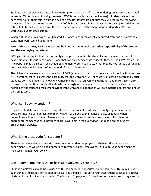Students who receive a FWS award may earn up to the amount of the award during an academic year (Fall semester, Winter break, & Spring semester; FWS is not available for the Summer). Students should not earn over half of their total award in any one semester if they are not sure they will return the following semester. If a student earns more than half of their total award in Fall semester, for example, and does not return to CSU for the Spring term, the over-earned amount will be charged to the department's nonworkstudy budget line (-0151).

When a student's FWS award is exhausted, the wages are automatically deducted from the department's -0151 (non-workstudy) budget line.

#### **Monitoring earnings, FWS balances, and budgetary charges is the exclusive responsibility of the student and the employing department.**

FWS guidelines require that the University attempt to maintain the student's employment for the full academic year. If your department is one that can only compensate students through their FWS awards, it is important that their hours be scheduled and monitored in such a way that they do not run out of funding and lose their employment before the end of the academic year.

The University over-awards our allocation of FWS (as many students who receive it will decline it or not use it). Therefore, there is always the possibility that the University will exhaust its allocation before individual students do. The Student Employment Office monitors the University's utilization and makes every effort to ensure that the University's allocation lasts throughout the academic terms. Departments will be notified by the Student Employment Office if the University's allocation will be exhausted before the end of the Spring term.

#### What can I pay my student?

Departments determine their own pay rates for their student positions. The only requirement is that positions must be paid at least minimum wage. (CSU goes by the higher of state or federal when determining minimum wage.) There is no cap to wage rates for student employees. For ideas on appropriate compensation, a pay rate chart is available in the Supervisor Handbook on the Student Employment website.

#### What is the dress code for students?

There is no campus-wide university dress code for student employees. Whatever dress code your department uses would also be appropriate for your student employees. It is up to your department to monitor or uphold your policy.

#### Can student employees use or be issued University property?

Student employees should be provided with the appropriate resources to do their jobs. This may include such things as uniforms, office supplies, keys, and vehicles. It is up to your department to issue or approve of student use of University property. The Student Employment Office does not monitor such usage and is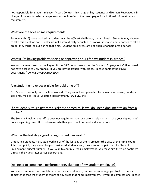not responsible for student misuse. Access Control is in charge of key issuance and Human Resources is in charge of University vehicle usage, so you should refer to their web pages for additional information and requirements.

#### What are the break-time requirements?

For every six (6) hours worked, a student must be *offered* a half-hour, unpaid break. Students may choose to take this break or not. Breaks are not automatically deducted in Kronos, so if a student chooses to take a break, they must log out during that time. Student employees are not eligible for paid break periods.

#### What if I'm having problems seeing or approving hours for my student in Kronos?

Kronos is administered by the Payroll & the IS&T departments, not the Student Employment Office. We do not have access to view Kronos. If you are having trouble with Kronos, please contact the Payroll department (PAYROLL@CSUOHIO.EDU).

#### Are student employees eligible for paid time off?

No. Students are only paid for time worked. They are not compensated for snow days, breaks, holidays, sick time, medical leave, vacation, bereavement, jury duty, etc.

## If a student is returning from a sickness or medical leave, do I need documentation from a doctor?

The Student Employment Office does not require or monitor doctor's releases, etc. Use your department's policy regarding time off to determine whether you should request a doctor's note.

#### When is the last day a graduating student can work?

Graduating students must stop working as of the last day of their semester (the date of their final exam). After that point, they are no longer considered students and, thus, cannot be paid out of a Student Employment budget number. If you wish to continue their employment, you must hire them on contracts through the Human Resources department.

#### Do I need to complete a performance evaluation of my student employee?

You are not required to complete a performance evaluation, but we do encourage you to do so once a semester so that the student is aware of any areas that need improvement. If you do complete one, please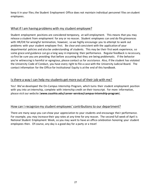keep it in your files; the Student Employment Office does not maintain individual personnel files on student employees.

#### What if I am having problems with my student employee?

Student employment positions are considered temporary, at-will employment. This means that you may release a student from employment for any or no reason. Student employees can and do file grievances with HR/OIE for wrongful termination, however, so we highly encourage you to attempt to work out problems with your student employee first. Be clear and consistent with the application of your departmental policies and also be understanding of students. This may be their first work experience, so some grace and guidance can go a long way in improving their performance. Regular feedback is necessary, so first be sure you are providing that before assuming that they are being problematic. If the behavior you're witnessing is harmful or egregious, please contact us for assistance. Also, if the student has violated the University Code of Conduct, you have every right to file a case with the University Judicial Board. The contact information for the Office for Institutional Equity is at the end of this handbook.

#### Is there a way I can help my students get more out of their job with me?

Yes! We've developed the On-Campus Internship Program, which turns their student employment position with you into an internship, complete with internship credit on their transcript. For more information, please visit our website (**www.csuohio.edu/career-services/campus-internship-program**).

#### How can I recognize my student employees' contributions to our department?

There are many ways you can show your appreciation to your students and encourage their performance. For example, you may increase their pay rates at any time for any reason. The second full week of April is National Student Employment Week, so you may want to have an office celebration honoring your student employees then. Of course, any day is a good day for a party or a treat!